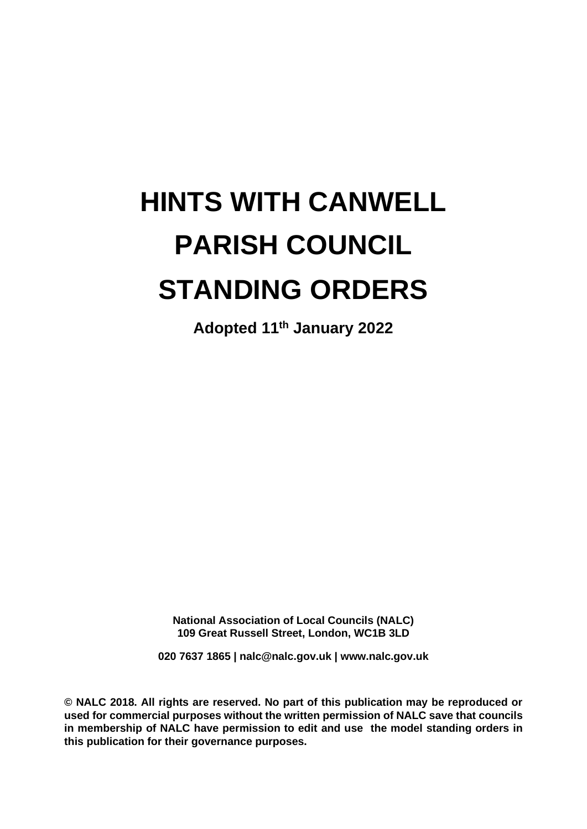# **HINTS WITH CANWELL PARISH COUNCIL STANDING ORDERS**

**Adopted 11 th January 2022**

**National Association of Local Councils (NALC) 109 Great Russell Street, London, WC1B 3LD**

**020 7637 1865 | nalc@nalc.gov.uk | www.nalc.gov.uk**

**© NALC 2018. All rights are reserved. No part of this publication may be reproduced or used for commercial purposes without the written permission of NALC save that councils in membership of NALC have permission to edit and use the model standing orders in this publication for their governance purposes.**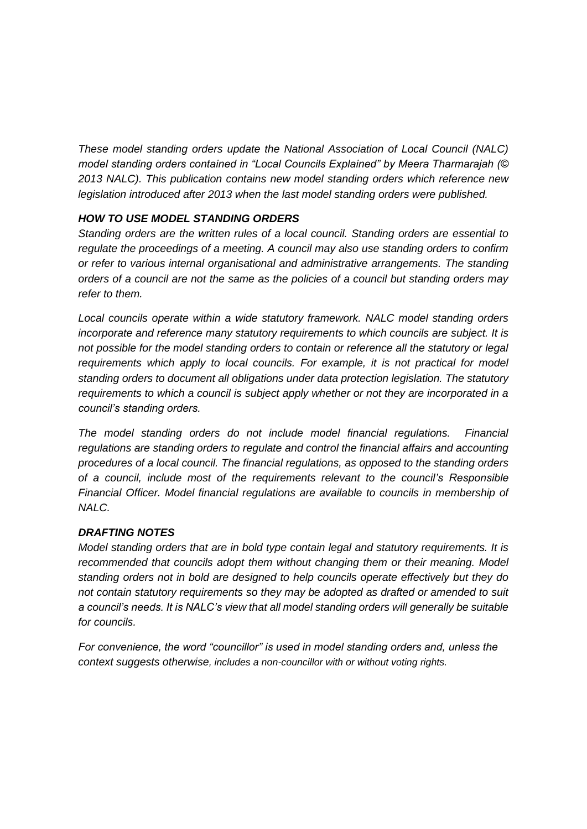*These model standing orders update the National Association of Local Council (NALC) model standing orders contained in "Local Councils Explained" by Meera Tharmarajah (© 2013 NALC). This publication contains new model standing orders which reference new legislation introduced after 2013 when the last model standing orders were published.*

## *HOW TO USE MODEL STANDING ORDERS*

*Standing orders are the written rules of a local council. Standing orders are essential to regulate the proceedings of a meeting. A council may also use standing orders to confirm or refer to various internal organisational and administrative arrangements. The standing orders of a council are not the same as the policies of a council but standing orders may refer to them.* 

*Local councils operate within a wide statutory framework. NALC model standing orders incorporate and reference many statutory requirements to which councils are subject. It is not possible for the model standing orders to contain or reference all the statutory or legal requirements which apply to local councils. For example, it is not practical for model standing orders to document all obligations under data protection legislation. The statutory requirements to which a council is subject apply whether or not they are incorporated in a council's standing orders.*

*The model standing orders do not include model financial regulations. Financial regulations are standing orders to regulate and control the financial affairs and accounting procedures of a local council. The financial regulations, as opposed to the standing orders of a council, include most of the requirements relevant to the council's Responsible Financial Officer. Model financial regulations are available to councils in membership of NALC.*

## *DRAFTING NOTES*

*Model standing orders that are in bold type contain legal and statutory requirements. It is recommended that councils adopt them without changing them or their meaning. Model standing orders not in bold are designed to help councils operate effectively but they do not contain statutory requirements so they may be adopted as drafted or amended to suit a council's needs. It is NALC's view that all model standing orders will generally be suitable for councils.* 

*For convenience, the word "councillor" is used in model standing orders and, unless the context suggests otherwise, includes a non-councillor with or without voting rights.*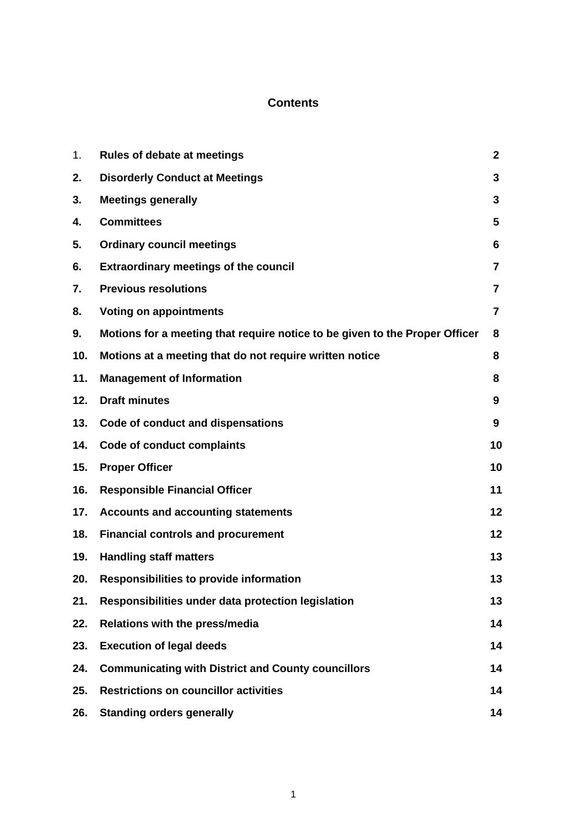## **Contents**

| 1.  | <b>Rules of debate at meetings</b>                                          | $\mathbf{2}$    |
|-----|-----------------------------------------------------------------------------|-----------------|
| 2.  | <b>Disorderly Conduct at Meetings</b>                                       | 3               |
| 3.  | <b>Meetings generally</b>                                                   | 3               |
| 4.  | <b>Committees</b>                                                           | $5\phantom{.0}$ |
| 5.  | <b>Ordinary council meetings</b>                                            | 6               |
| 6.  | <b>Extraordinary meetings of the council</b>                                | $\overline{7}$  |
| 7.  | <b>Previous resolutions</b>                                                 | $\overline{7}$  |
| 8.  | <b>Voting on appointments</b>                                               | $\overline{7}$  |
| 9.  | Motions for a meeting that require notice to be given to the Proper Officer | 8               |
| 10. | Motions at a meeting that do not require written notice                     | 8               |
| 11. | <b>Management of Information</b>                                            | 8               |
| 12. | <b>Draft minutes</b>                                                        | 9               |
| 13. | Code of conduct and dispensations                                           | 9               |
| 14. | <b>Code of conduct complaints</b>                                           | 10              |
| 15. | <b>Proper Officer</b>                                                       | 10              |
| 16. | <b>Responsible Financial Officer</b>                                        | 11              |
| 17. | <b>Accounts and accounting statements</b>                                   | 12              |
| 18. | <b>Financial controls and procurement</b>                                   | 12              |
| 19. | <b>Handling staff matters</b>                                               | 13              |
| 20. | <b>Responsibilities to provide information</b>                              | 13              |
| 21. | Responsibilities under data protection legislation                          | 13              |
| 22. | Relations with the press/media                                              | 14              |
| 23. | <b>Execution of legal deeds</b>                                             | 14              |
| 24. | <b>Communicating with District and County councillors</b>                   | 14              |
| 25. | <b>Restrictions on councillor activities</b>                                | 14              |
| 26. | <b>Standing orders generally</b>                                            | 14              |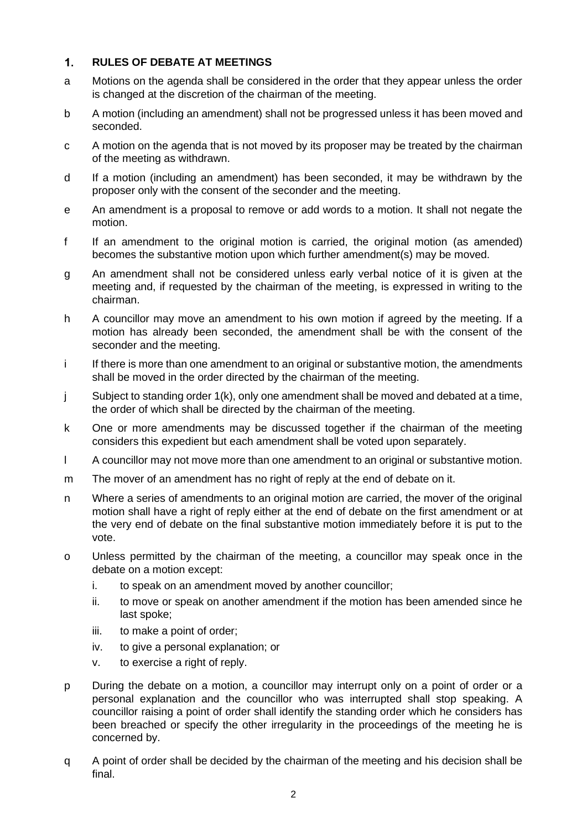#### $\mathbf{1}$ . **RULES OF DEBATE AT MEETINGS**

- a Motions on the agenda shall be considered in the order that they appear unless the order is changed at the discretion of the chairman of the meeting.
- b A motion (including an amendment) shall not be progressed unless it has been moved and seconded.
- c A motion on the agenda that is not moved by its proposer may be treated by the chairman of the meeting as withdrawn.
- d If a motion (including an amendment) has been seconded, it may be withdrawn by the proposer only with the consent of the seconder and the meeting.
- e An amendment is a proposal to remove or add words to a motion. It shall not negate the motion.
- f If an amendment to the original motion is carried, the original motion (as amended) becomes the substantive motion upon which further amendment(s) may be moved.
- g An amendment shall not be considered unless early verbal notice of it is given at the meeting and, if requested by the chairman of the meeting, is expressed in writing to the chairman.
- h A councillor may move an amendment to his own motion if agreed by the meeting. If a motion has already been seconded, the amendment shall be with the consent of the seconder and the meeting.
- i If there is more than one amendment to an original or substantive motion, the amendments shall be moved in the order directed by the chairman of the meeting.
- j Subject to standing order 1(k), only one amendment shall be moved and debated at a time, the order of which shall be directed by the chairman of the meeting.
- k One or more amendments may be discussed together if the chairman of the meeting considers this expedient but each amendment shall be voted upon separately.
- l A councillor may not move more than one amendment to an original or substantive motion.
- m The mover of an amendment has no right of reply at the end of debate on it.
- n Where a series of amendments to an original motion are carried, the mover of the original motion shall have a right of reply either at the end of debate on the first amendment or at the very end of debate on the final substantive motion immediately before it is put to the vote.
- o Unless permitted by the chairman of the meeting, a councillor may speak once in the debate on a motion except:
	- i. to speak on an amendment moved by another councillor;
	- ii. to move or speak on another amendment if the motion has been amended since he last spoke;
	- iii. to make a point of order;
	- iv. to give a personal explanation; or
	- v. to exercise a right of reply.
- p During the debate on a motion, a councillor may interrupt only on a point of order or a personal explanation and the councillor who was interrupted shall stop speaking. A councillor raising a point of order shall identify the standing order which he considers has been breached or specify the other irregularity in the proceedings of the meeting he is concerned by.
- q A point of order shall be decided by the chairman of the meeting and his decision shall be final.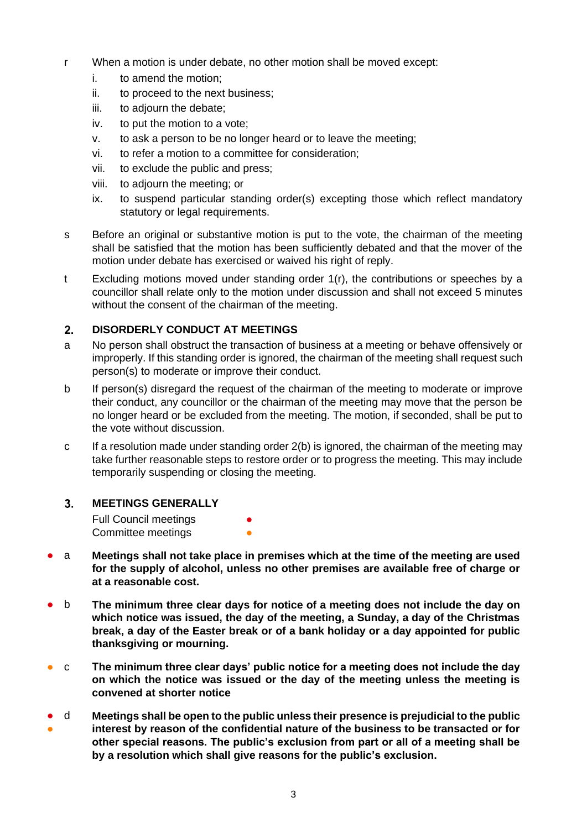- r When a motion is under debate, no other motion shall be moved except:
	- i. to amend the motion;
	- ii. to proceed to the next business;
	- iii. to adjourn the debate;
	- iv. to put the motion to a vote;
	- v. to ask a person to be no longer heard or to leave the meeting;
	- vi. to refer a motion to a committee for consideration;
	- vii. to exclude the public and press;
	- viii. to adjourn the meeting; or
	- ix. to suspend particular standing order(s) excepting those which reflect mandatory statutory or legal requirements.
- s Before an original or substantive motion is put to the vote, the chairman of the meeting shall be satisfied that the motion has been sufficiently debated and that the mover of the motion under debate has exercised or waived his right of reply.
- t Excluding motions moved under standing order 1(r), the contributions or speeches by a councillor shall relate only to the motion under discussion and shall not exceed 5 minutes without the consent of the chairman of the meeting.

#### $2<sub>1</sub>$ **DISORDERLY CONDUCT AT MEETINGS**

- a No person shall obstruct the transaction of business at a meeting or behave offensively or improperly. If this standing order is ignored, the chairman of the meeting shall request such person(s) to moderate or improve their conduct.
- b If person(s) disregard the request of the chairman of the meeting to moderate or improve their conduct, any councillor or the chairman of the meeting may move that the person be no longer heard or be excluded from the meeting. The motion, if seconded, shall be put to the vote without discussion.
- c If a resolution made under standing order 2(b) is ignored, the chairman of the meeting may take further reasonable steps to restore order or to progress the meeting. This may include temporarily suspending or closing the meeting.

#### $\overline{3}$ **MEETINGS GENERALLY**

**Full Council meetings** Committee meetings **•** 

- a **Meetings shall not take place in premises which at the time of the meeting are used for the supply of alcohol, unless no other premises are available free of charge or at a reasonable cost.**
- b **The minimum three clear days for notice of a meeting does not include the day on which notice was issued, the day of the meeting, a Sunday, a day of the Christmas break, a day of the Easter break or of a bank holiday or a day appointed for public thanksgiving or mourning.**
- c **The minimum three clear days' public notice for a meeting does not include the day on which the notice was issued or the day of the meeting unless the meeting is convened at shorter notice**
- ● d **Meetings shall be open to the public unless their presence is prejudicial to the public interest by reason of the confidential nature of the business to be transacted or for other special reasons. The public's exclusion from part or all of a meeting shall be by a resolution which shall give reasons for the public's exclusion.**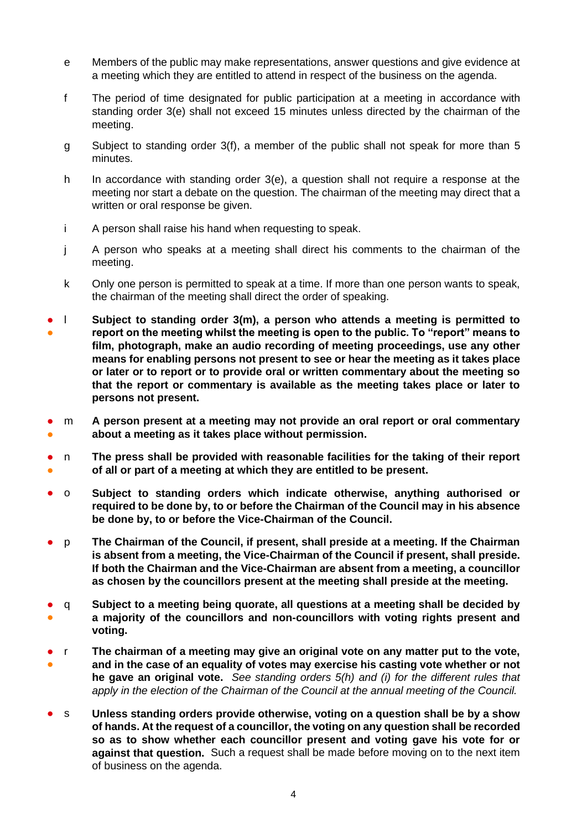- e Members of the public may make representations, answer questions and give evidence at a meeting which they are entitled to attend in respect of the business on the agenda.
- f The period of time designated for public participation at a meeting in accordance with standing order 3(e) shall not exceed 15 minutes unless directed by the chairman of the meeting.
- g Subject to standing order 3(f), a member of the public shall not speak for more than 5 minutes.
- h In accordance with standing order 3(e), a question shall not require a response at the meeting nor start a debate on the question. The chairman of the meeting may direct that a written or oral response be given.
- i A person shall raise his hand when requesting to speak.
- j A person who speaks at a meeting shall direct his comments to the chairman of the meeting.
- k Only one person is permitted to speak at a time. If more than one person wants to speak, the chairman of the meeting shall direct the order of speaking.
- ● l **Subject to standing order 3(m), a person who attends a meeting is permitted to report on the meeting whilst the meeting is open to the public. To "report" means to film, photograph, make an audio recording of meeting proceedings, use any other means for enabling persons not present to see or hear the meeting as it takes place or later or to report or to provide oral or written commentary about the meeting so that the report or commentary is available as the meeting takes place or later to persons not present.**
- ● m **A person present at a meeting may not provide an oral report or oral commentary about a meeting as it takes place without permission.**
- ● n **The press shall be provided with reasonable facilities for the taking of their report of all or part of a meeting at which they are entitled to be present.**
- o **Subject to standing orders which indicate otherwise, anything authorised or required to be done by, to or before the Chairman of the Council may in his absence be done by, to or before the Vice-Chairman of the Council.**
- p **The Chairman of the Council, if present, shall preside at a meeting. If the Chairman is absent from a meeting, the Vice-Chairman of the Council if present, shall preside. If both the Chairman and the Vice-Chairman are absent from a meeting, a councillor as chosen by the councillors present at the meeting shall preside at the meeting.**
- ● q **Subject to a meeting being quorate, all questions at a meeting shall be decided by a majority of the councillors and non-councillors with voting rights present and voting.**
- r **The chairman of a meeting may give an original vote on any matter put to the vote,**
- **and in the case of an equality of votes may exercise his casting vote whether or not he gave an original vote.** *See standing orders 5(h) and (i) for the different rules that apply in the election of the Chairman of the Council at the annual meeting of the Council.*
- s **Unless standing orders provide otherwise, voting on a question shall be by a show of hands. At the request of a councillor, the voting on any question shall be recorded so as to show whether each councillor present and voting gave his vote for or against that question.** Such a request shall be made before moving on to the next item of business on the agenda.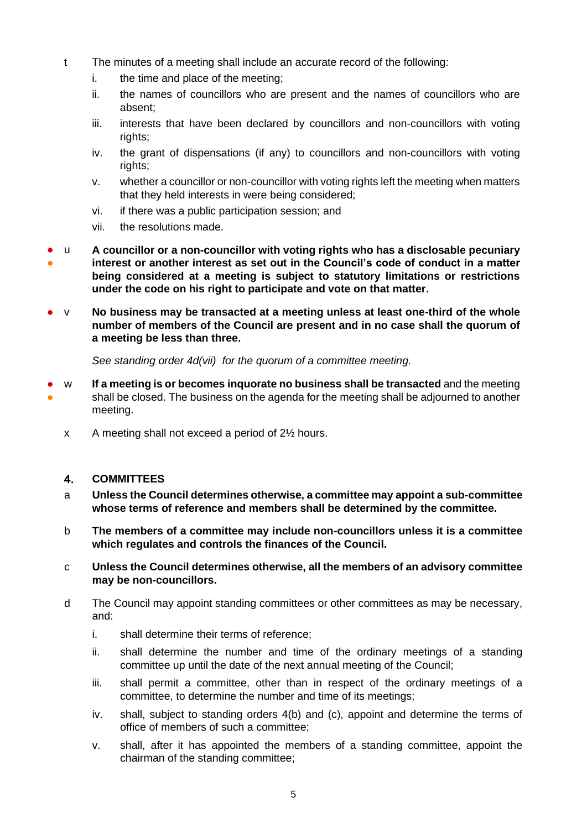- t The minutes of a meeting shall include an accurate record of the following:
	- i. the time and place of the meeting;
	- ii. the names of councillors who are present and the names of councillors who are absent;
	- iii. interests that have been declared by councillors and non-councillors with voting rights;
	- iv. the grant of dispensations (if any) to councillors and non-councillors with voting rights;
	- v. whether a councillor or non-councillor with voting rights left the meeting when matters that they held interests in were being considered;
	- vi. if there was a public participation session; and
	- vii. the resolutions made.
- ● u **A councillor or a non-councillor with voting rights who has a disclosable pecuniary interest or another interest as set out in the Council's code of conduct in a matter being considered at a meeting is subject to statutory limitations or restrictions under the code on his right to participate and vote on that matter.**
- v **No business may be transacted at a meeting unless at least one-third of the whole number of members of the Council are present and in no case shall the quorum of a meeting be less than three.**

*See standing order 4d(vii) for the quorum of a committee meeting.* 

- ● w **If a meeting is or becomes inquorate no business shall be transacted** and the meeting shall be closed. The business on the agenda for the meeting shall be adjourned to another meeting.
	- x A meeting shall not exceed a period of 2½ hours.

#### $\overline{\mathbf{A}}$ **COMMITTEES**

- a **Unless the Council determines otherwise, a committee may appoint a sub-committee whose terms of reference and members shall be determined by the committee.**
- b **The members of a committee may include non-councillors unless it is a committee which regulates and controls the finances of the Council.**
- c **Unless the Council determines otherwise, all the members of an advisory committee may be non-councillors.**
- d The Council may appoint standing committees or other committees as may be necessary, and:
	- i. shall determine their terms of reference;
	- ii. shall determine the number and time of the ordinary meetings of a standing committee up until the date of the next annual meeting of the Council;
	- iii. shall permit a committee, other than in respect of the ordinary meetings of a committee, to determine the number and time of its meetings;
	- iv. shall, subject to standing orders 4(b) and (c), appoint and determine the terms of office of members of such a committee;
	- v. shall, after it has appointed the members of a standing committee, appoint the chairman of the standing committee;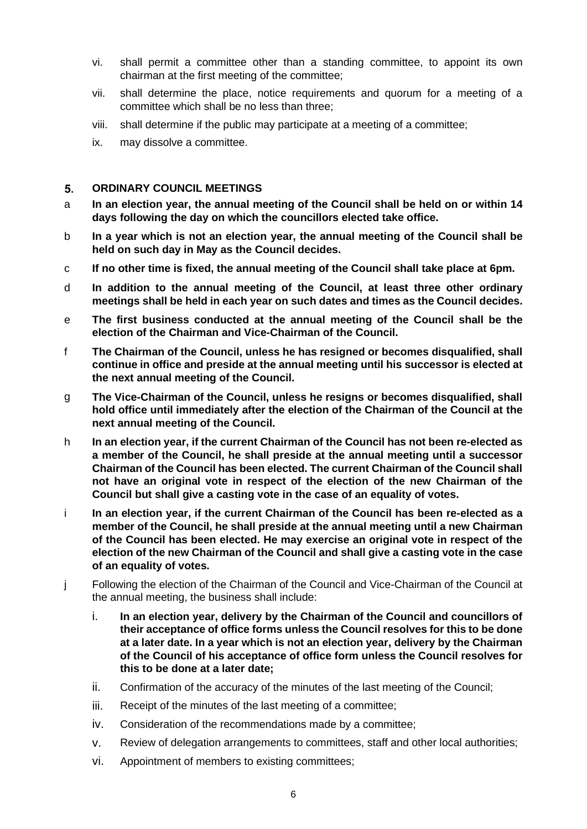- vi. shall permit a committee other than a standing committee, to appoint its own chairman at the first meeting of the committee;
- vii. shall determine the place, notice requirements and quorum for a meeting of a committee which shall be no less than three;
- viii. shall determine if the public may participate at a meeting of a committee;
- ix. may dissolve a committee.

#### $5<sub>1</sub>$ **ORDINARY COUNCIL MEETINGS**

- a **In an election year, the annual meeting of the Council shall be held on or within 14 days following the day on which the councillors elected take office.**
- b **In a year which is not an election year, the annual meeting of the Council shall be held on such day in May as the Council decides.**
- c **If no other time is fixed, the annual meeting of the Council shall take place at 6pm.**
- d **In addition to the annual meeting of the Council, at least three other ordinary meetings shall be held in each year on such dates and times as the Council decides.**
- e **The first business conducted at the annual meeting of the Council shall be the election of the Chairman and Vice-Chairman of the Council.**
- f **The Chairman of the Council, unless he has resigned or becomes disqualified, shall continue in office and preside at the annual meeting until his successor is elected at the next annual meeting of the Council.**
- g **The Vice-Chairman of the Council, unless he resigns or becomes disqualified, shall hold office until immediately after the election of the Chairman of the Council at the next annual meeting of the Council.**
- h **In an election year, if the current Chairman of the Council has not been re-elected as a member of the Council, he shall preside at the annual meeting until a successor Chairman of the Council has been elected. The current Chairman of the Council shall not have an original vote in respect of the election of the new Chairman of the Council but shall give a casting vote in the case of an equality of votes.**
- i **In an election year, if the current Chairman of the Council has been re-elected as a member of the Council, he shall preside at the annual meeting until a new Chairman of the Council has been elected. He may exercise an original vote in respect of the election of the new Chairman of the Council and shall give a casting vote in the case of an equality of votes.**
- j Following the election of the Chairman of the Council and Vice-Chairman of the Council at the annual meeting, the business shall include:
	- i. **In an election year, delivery by the Chairman of the Council and councillors of their acceptance of office forms unless the Council resolves for this to be done at a later date. In a year which is not an election year, delivery by the Chairman of the Council of his acceptance of office form unless the Council resolves for this to be done at a later date;**
	- ii. Confirmation of the accuracy of the minutes of the last meeting of the Council;
	- iii. Receipt of the minutes of the last meeting of a committee;
	- iv. Consideration of the recommendations made by a committee;
	- v. Review of delegation arrangements to committees, staff and other local authorities;
	- vi. Appointment of members to existing committees;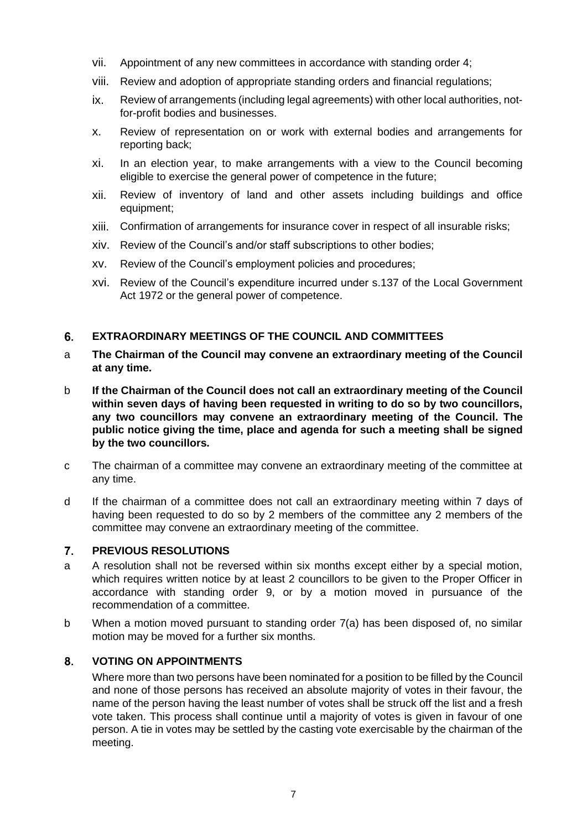- vii. Appointment of any new committees in accordance with standing order 4;
- viii. Review and adoption of appropriate standing orders and financial regulations;
- ix. Review of arrangements (including legal agreements) with other local authorities, notfor-profit bodies and businesses.
- x. Review of representation on or work with external bodies and arrangements for reporting back;
- xi. In an election year, to make arrangements with a view to the Council becoming eligible to exercise the general power of competence in the future;
- xii. Review of inventory of land and other assets including buildings and office equipment;
- xiii. Confirmation of arrangements for insurance cover in respect of all insurable risks;
- xiv. Review of the Council's and/or staff subscriptions to other bodies;
- xv. Review of the Council's employment policies and procedures;
- xvi. Review of the Council's expenditure incurred under s.137 of the Local Government Act 1972 or the general power of competence.

#### **EXTRAORDINARY MEETINGS OF THE COUNCIL AND COMMITTEES** 6.

- a **The Chairman of the Council may convene an extraordinary meeting of the Council at any time.**
- b **If the Chairman of the Council does not call an extraordinary meeting of the Council within seven days of having been requested in writing to do so by two councillors, any two councillors may convene an extraordinary meeting of the Council. The public notice giving the time, place and agenda for such a meeting shall be signed by the two councillors.**
- c The chairman of a committee may convene an extraordinary meeting of the committee at any time.
- d If the chairman of a committee does not call an extraordinary meeting within 7 days of having been requested to do so by 2 members of the committee any 2 members of the committee may convene an extraordinary meeting of the committee.

#### $7<sub>1</sub>$ **PREVIOUS RESOLUTIONS**

- a A resolution shall not be reversed within six months except either by a special motion, which requires written notice by at least 2 councillors to be given to the Proper Officer in accordance with standing order 9, or by a motion moved in pursuance of the recommendation of a committee.
- b When a motion moved pursuant to standing order 7(a) has been disposed of, no similar motion may be moved for a further six months.

#### $8<sub>-</sub>$ **VOTING ON APPOINTMENTS**

Where more than two persons have been nominated for a position to be filled by the Council and none of those persons has received an absolute majority of votes in their favour, the name of the person having the least number of votes shall be struck off the list and a fresh vote taken. This process shall continue until a majority of votes is given in favour of one person. A tie in votes may be settled by the casting vote exercisable by the chairman of the meeting.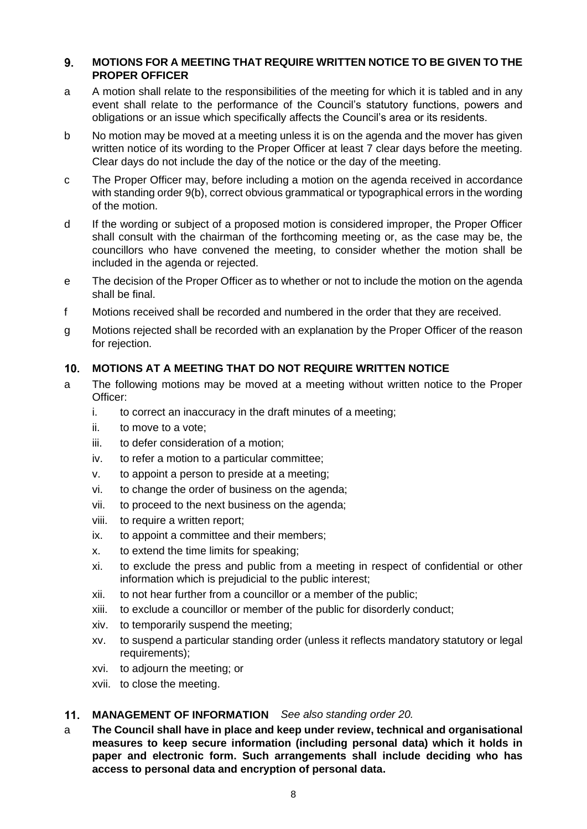### **MOTIONS FOR A MEETING THAT REQUIRE WRITTEN NOTICE TO BE GIVEN TO THE**   $9<sub>1</sub>$ **PROPER OFFICER**

- a A motion shall relate to the responsibilities of the meeting for which it is tabled and in any event shall relate to the performance of the Council's statutory functions, powers and obligations or an issue which specifically affects the Council's area or its residents.
- b No motion may be moved at a meeting unless it is on the agenda and the mover has given written notice of its wording to the Proper Officer at least 7 clear days before the meeting. Clear days do not include the day of the notice or the day of the meeting.
- c The Proper Officer may, before including a motion on the agenda received in accordance with standing order 9(b), correct obvious grammatical or typographical errors in the wording of the motion.
- d If the wording or subject of a proposed motion is considered improper, the Proper Officer shall consult with the chairman of the forthcoming meeting or, as the case may be, the councillors who have convened the meeting, to consider whether the motion shall be included in the agenda or rejected.
- e The decision of the Proper Officer as to whether or not to include the motion on the agenda shall be final.
- f Motions received shall be recorded and numbered in the order that they are received.
- g Motions rejected shall be recorded with an explanation by the Proper Officer of the reason for rejection.

#### $10.$ **MOTIONS AT A MEETING THAT DO NOT REQUIRE WRITTEN NOTICE**

- a The following motions may be moved at a meeting without written notice to the Proper Officer:
	- i. to correct an inaccuracy in the draft minutes of a meeting;
	- ii. to move to a vote;
	- iii. to defer consideration of a motion;
	- iv. to refer a motion to a particular committee;
	- v. to appoint a person to preside at a meeting;
	- vi. to change the order of business on the agenda;
	- vii. to proceed to the next business on the agenda;
	- viii. to require a written report;
	- ix. to appoint a committee and their members;
	- x. to extend the time limits for speaking;
	- xi. to exclude the press and public from a meeting in respect of confidential or other information which is prejudicial to the public interest;
	- xii. to not hear further from a councillor or a member of the public;
	- xiii. to exclude a councillor or member of the public for disorderly conduct;
	- xiv. to temporarily suspend the meeting;
	- xv. to suspend a particular standing order (unless it reflects mandatory statutory or legal requirements);
	- xvi. to adjourn the meeting; or
	- xvii. to close the meeting.

#### **MANAGEMENT OF INFORMATION** *See also standing order 20.*  $11.$

a **The Council shall have in place and keep under review, technical and organisational measures to keep secure information (including personal data) which it holds in paper and electronic form. Such arrangements shall include deciding who has access to personal data and encryption of personal data.**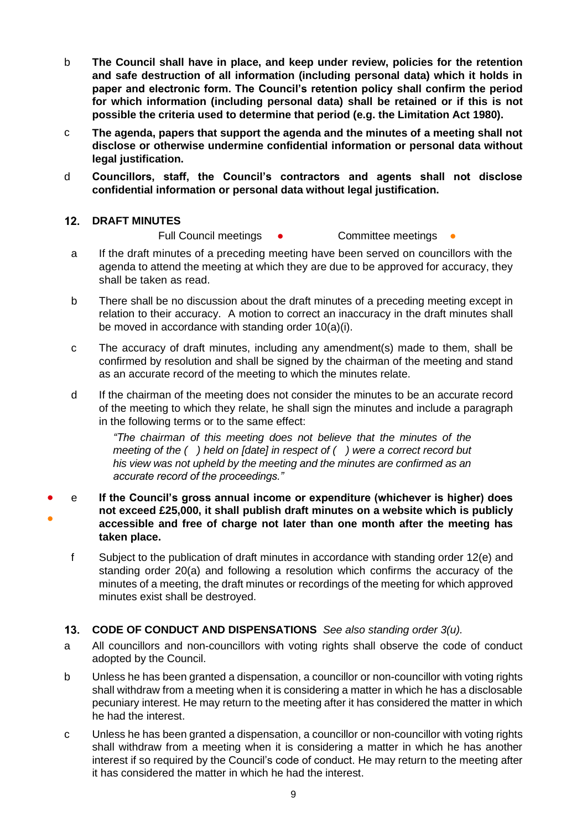- b **The Council shall have in place, and keep under review, policies for the retention and safe destruction of all information (including personal data) which it holds in paper and electronic form. The Council's retention policy shall confirm the period for which information (including personal data) shall be retained or if this is not possible the criteria used to determine that period (e.g. the Limitation Act 1980).**
- c **The agenda, papers that support the agenda and the minutes of a meeting shall not disclose or otherwise undermine confidential information or personal data without legal justification.**
- d **Councillors, staff, the Council's contractors and agents shall not disclose confidential information or personal data without legal justification.**

## 12. **DRAFT MINUTES**

- Full Council meetings Committee meetings
- a If the draft minutes of a preceding meeting have been served on councillors with the agenda to attend the meeting at which they are due to be approved for accuracy, they shall be taken as read.
- b There shall be no discussion about the draft minutes of a preceding meeting except in relation to their accuracy. A motion to correct an inaccuracy in the draft minutes shall be moved in accordance with standing order 10(a)(i).
- c The accuracy of draft minutes, including any amendment(s) made to them, shall be confirmed by resolution and shall be signed by the chairman of the meeting and stand as an accurate record of the meeting to which the minutes relate.
- d If the chairman of the meeting does not consider the minutes to be an accurate record of the meeting to which they relate, he shall sign the minutes and include a paragraph in the following terms or to the same effect:

*"The chairman of this meeting does not believe that the minutes of the meeting of the ( ) held on [date] in respect of ( ) were a correct record but his view was not upheld by the meeting and the minutes are confirmed as an accurate record of the proceedings."*

- ● e **If the Council's gross annual income or expenditure (whichever is higher) does not exceed £25,000, it shall publish draft minutes on a website which is publicly accessible and free of charge not later than one month after the meeting has taken place.**
	- f Subject to the publication of draft minutes in accordance with standing order 12(e) and standing order 20(a) and following a resolution which confirms the accuracy of the minutes of a meeting, the draft minutes or recordings of the meeting for which approved minutes exist shall be destroyed.

#### $13.$ **CODE OF CONDUCT AND DISPENSATIONS** *See also standing order 3(u).*

- a All councillors and non-councillors with voting rights shall observe the code of conduct adopted by the Council.
- b Unless he has been granted a dispensation, a councillor or non-councillor with voting rights shall withdraw from a meeting when it is considering a matter in which he has a disclosable pecuniary interest. He may return to the meeting after it has considered the matter in which he had the interest.
- c Unless he has been granted a dispensation, a councillor or non-councillor with voting rights shall withdraw from a meeting when it is considering a matter in which he has another interest if so required by the Council's code of conduct. He may return to the meeting after it has considered the matter in which he had the interest.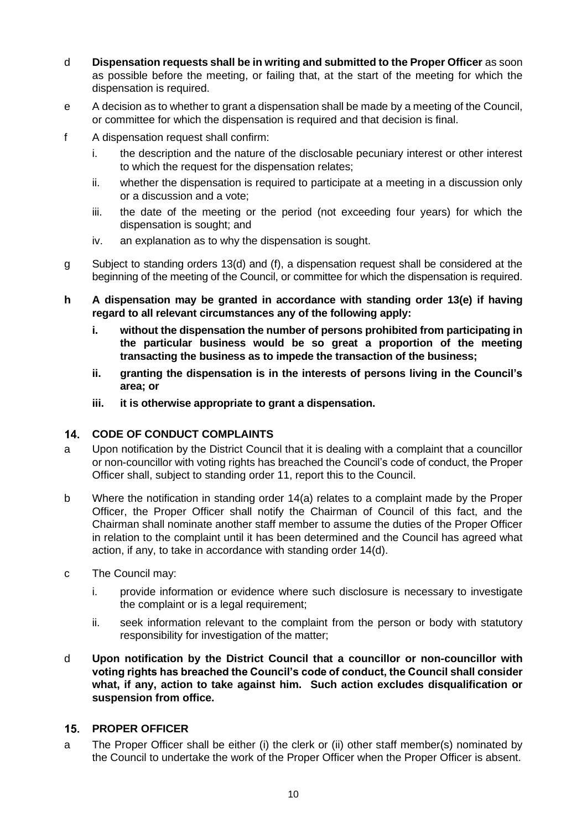- d **Dispensation requests shall be in writing and submitted to the Proper Officer** as soon as possible before the meeting, or failing that, at the start of the meeting for which the dispensation is required.
- e A decision as to whether to grant a dispensation shall be made by a meeting of the Council, or committee for which the dispensation is required and that decision is final.
- f A dispensation request shall confirm:
	- i. the description and the nature of the disclosable pecuniary interest or other interest to which the request for the dispensation relates;
	- ii. whether the dispensation is required to participate at a meeting in a discussion only or a discussion and a vote;
	- iii. the date of the meeting or the period (not exceeding four years) for which the dispensation is sought; and
	- iv. an explanation as to why the dispensation is sought.
- g Subject to standing orders 13(d) and (f), a dispensation request shall be considered at the beginning of the meeting of the Council, or committee for which the dispensation is required.
- **h A dispensation may be granted in accordance with standing order 13(e) if having regard to all relevant circumstances any of the following apply:**
	- **i. without the dispensation the number of persons prohibited from participating in the particular business would be so great a proportion of the meeting transacting the business as to impede the transaction of the business;**
	- **ii. granting the dispensation is in the interests of persons living in the Council's area; or**
	- **iii. it is otherwise appropriate to grant a dispensation.**

#### $14.$ **CODE OF CONDUCT COMPLAINTS**

- a Upon notification by the District Council that it is dealing with a complaint that a councillor or non-councillor with voting rights has breached the Council's code of conduct, the Proper Officer shall, subject to standing order 11, report this to the Council.
- b Where the notification in standing order 14(a) relates to a complaint made by the Proper Officer, the Proper Officer shall notify the Chairman of Council of this fact, and the Chairman shall nominate another staff member to assume the duties of the Proper Officer in relation to the complaint until it has been determined and the Council has agreed what action, if any, to take in accordance with standing order 14(d).
- c The Council may:
	- i. provide information or evidence where such disclosure is necessary to investigate the complaint or is a legal requirement;
	- ii. seek information relevant to the complaint from the person or body with statutory responsibility for investigation of the matter;
- d **Upon notification by the District Council that a councillor or non-councillor with voting rights has breached the Council's code of conduct, the Council shall consider what, if any, action to take against him. Such action excludes disqualification or suspension from office.**

## **PROPER OFFICER**

a The Proper Officer shall be either (i) the clerk or (ii) other staff member(s) nominated by the Council to undertake the work of the Proper Officer when the Proper Officer is absent.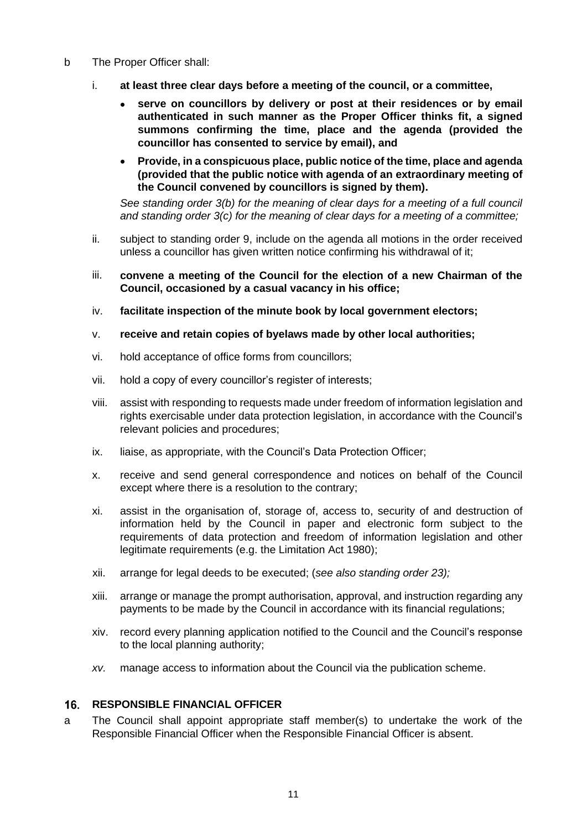- b The Proper Officer shall:
	- i. **at least three clear days before a meeting of the council, or a committee,**
		- **serve on councillors by delivery or post at their residences or by email authenticated in such manner as the Proper Officer thinks fit, a signed summons confirming the time, place and the agenda (provided the councillor has consented to service by email), and**
		- **Provide, in a conspicuous place, public notice of the time, place and agenda (provided that the public notice with agenda of an extraordinary meeting of the Council convened by councillors is signed by them).**

*See standing order 3(b) for the meaning of clear days for a meeting of a full council and standing order 3(c) for the meaning of clear days for a meeting of a committee;*

- ii. subject to standing order 9, include on the agenda all motions in the order received unless a councillor has given written notice confirming his withdrawal of it;
- iii. **convene a meeting of the Council for the election of a new Chairman of the Council, occasioned by a casual vacancy in his office;**
- iv. **facilitate inspection of the minute book by local government electors;**
- v. **receive and retain copies of byelaws made by other local authorities;**
- vi. hold acceptance of office forms from councillors;
- vii. hold a copy of every councillor's register of interests;
- viii. assist with responding to requests made under freedom of information legislation and rights exercisable under data protection legislation, in accordance with the Council's relevant policies and procedures;
- ix. liaise, as appropriate, with the Council's Data Protection Officer;
- x. receive and send general correspondence and notices on behalf of the Council except where there is a resolution to the contrary;
- xi. assist in the organisation of, storage of, access to, security of and destruction of information held by the Council in paper and electronic form subject to the requirements of data protection and freedom of information legislation and other legitimate requirements (e.g. the Limitation Act 1980);
- xii. arrange for legal deeds to be executed; (*see also standing order 23);*
- xiii. arrange or manage the prompt authorisation, approval, and instruction regarding any payments to be made by the Council in accordance with its financial regulations;
- xiv. record every planning application notified to the Council and the Council's response to the local planning authority;
- *xv.* manage access to information about the Council via the publication scheme.

#### **RESPONSIBLE FINANCIAL OFFICER**   $16.$

a The Council shall appoint appropriate staff member(s) to undertake the work of the Responsible Financial Officer when the Responsible Financial Officer is absent.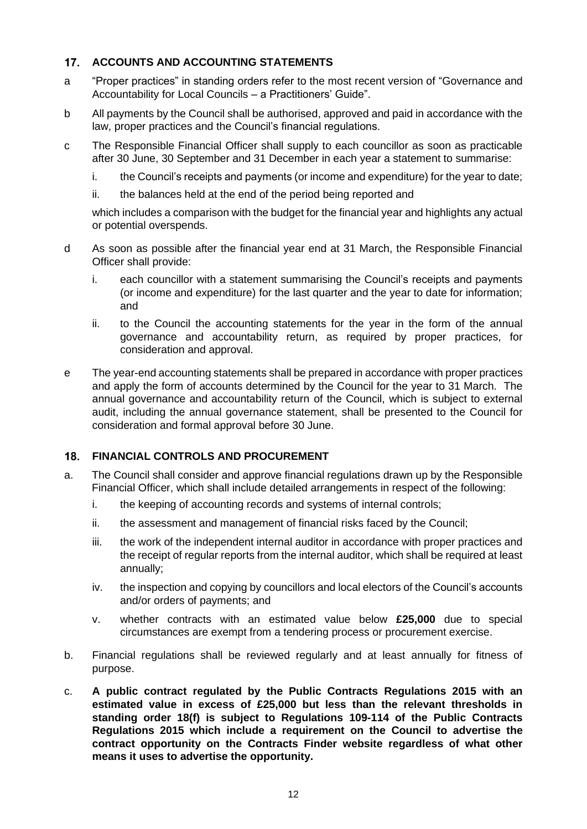#### **ACCOUNTS AND ACCOUNTING STATEMENTS**  $17<sub>1</sub>$

- a "Proper practices" in standing orders refer to the most recent version of "Governance and Accountability for Local Councils – a Practitioners' Guide".
- b All payments by the Council shall be authorised, approved and paid in accordance with the law, proper practices and the Council's financial regulations.
- c The Responsible Financial Officer shall supply to each councillor as soon as practicable after 30 June, 30 September and 31 December in each year a statement to summarise:
	- i. the Council's receipts and payments (or income and expenditure) for the year to date;
	- ii. the balances held at the end of the period being reported and

which includes a comparison with the budget for the financial year and highlights any actual or potential overspends.

- d As soon as possible after the financial year end at 31 March, the Responsible Financial Officer shall provide:
	- i. each councillor with a statement summarising the Council's receipts and payments (or income and expenditure) for the last quarter and the year to date for information; and
	- ii. to the Council the accounting statements for the year in the form of the annual governance and accountability return, as required by proper practices, for consideration and approval.
- e The year-end accounting statements shall be prepared in accordance with proper practices and apply the form of accounts determined by the Council for the year to 31 March. The annual governance and accountability return of the Council, which is subject to external audit, including the annual governance statement, shall be presented to the Council for consideration and formal approval before 30 June.

#### **FINANCIAL CONTROLS AND PROCUREMENT**  $18.$

- a. The Council shall consider and approve financial regulations drawn up by the Responsible Financial Officer, which shall include detailed arrangements in respect of the following:
	- i. the keeping of accounting records and systems of internal controls;
	- ii. the assessment and management of financial risks faced by the Council;
	- iii. the work of the independent internal auditor in accordance with proper practices and the receipt of regular reports from the internal auditor, which shall be required at least annually;
	- iv. the inspection and copying by councillors and local electors of the Council's accounts and/or orders of payments; and
	- v. whether contracts with an estimated value below **£25,000** due to special circumstances are exempt from a tendering process or procurement exercise.
- b. Financial regulations shall be reviewed regularly and at least annually for fitness of purpose.
- c. **A public contract regulated by the Public Contracts Regulations 2015 with an estimated value in excess of £25,000 but less than the relevant thresholds in standing order 18(f) is subject to Regulations 109-114 of the Public Contracts Regulations 2015 which include a requirement on the Council to advertise the contract opportunity on the Contracts Finder website regardless of what other means it uses to advertise the opportunity.**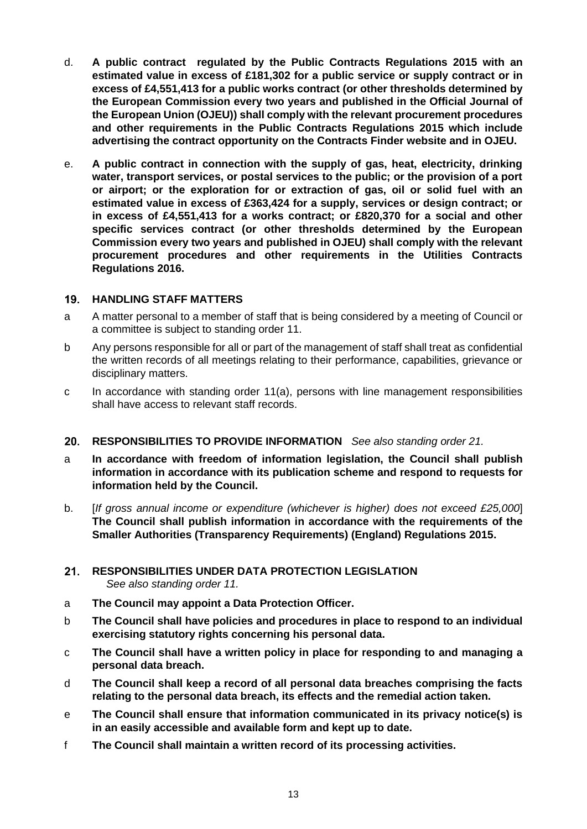- d. **A public contract regulated by the Public Contracts Regulations 2015 with an estimated value in excess of £181,302 for a public service or supply contract or in excess of £4,551,413 for a public works contract (or other thresholds determined by the European Commission every two years and published in the Official Journal of the European Union (OJEU)) shall comply with the relevant procurement procedures and other requirements in the Public Contracts Regulations 2015 which include advertising the contract opportunity on the Contracts Finder website and in OJEU.**
- e. **A public contract in connection with the supply of gas, heat, electricity, drinking water, transport services, or postal services to the public; or the provision of a port or airport; or the exploration for or extraction of gas, oil or solid fuel with an estimated value in excess of £363,424 for a supply, services or design contract; or in excess of £4,551,413 for a works contract; or £820,370 for a social and other specific services contract (or other thresholds determined by the European Commission every two years and published in OJEU) shall comply with the relevant procurement procedures and other requirements in the Utilities Contracts Regulations 2016.**

## **HANDLING STAFF MATTERS**

- a A matter personal to a member of staff that is being considered by a meeting of Council or a committee is subject to standing order 11.
- b Any persons responsible for all or part of the management of staff shall treat as confidential the written records of all meetings relating to their performance, capabilities, grievance or disciplinary matters.
- c In accordance with standing order 11(a), persons with line management responsibilities shall have access to relevant staff records.

#### **RESPONSIBILITIES TO PROVIDE INFORMATION** *See also standing order 21.*  $20.$

- a **In accordance with freedom of information legislation, the Council shall publish information in accordance with its publication scheme and respond to requests for information held by the Council.**
- b. [*If gross annual income or expenditure (whichever is higher) does not exceed £25,000*] **The Council shall publish information in accordance with the requirements of the Smaller Authorities (Transparency Requirements) (England) Regulations 2015.**

## 21. RESPONSIBILITIES UNDER DATA PROTECTION LEGISLATION *See also standing order 11.*

- a **The Council may appoint a Data Protection Officer.**
- b **The Council shall have policies and procedures in place to respond to an individual exercising statutory rights concerning his personal data.**
- c **The Council shall have a written policy in place for responding to and managing a personal data breach.**
- d **The Council shall keep a record of all personal data breaches comprising the facts relating to the personal data breach, its effects and the remedial action taken.**
- e **The Council shall ensure that information communicated in its privacy notice(s) is in an easily accessible and available form and kept up to date.**
- f **The Council shall maintain a written record of its processing activities.**